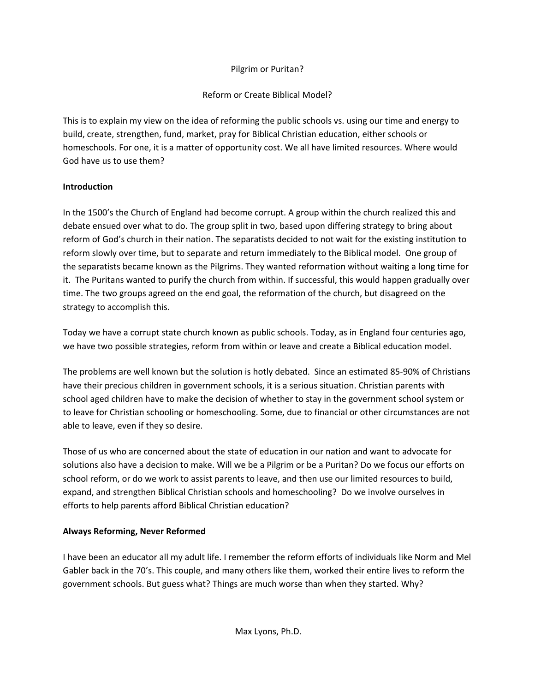#### Pilgrim or Puritan?

### Reform or Create Biblical Model?

This is to explain my view on the idea of reforming the public schools vs. using our time and energy to build, create, strengthen, fund, market, pray for Biblical Christian education, either schools or homeschools. For one, it is a matter of opportunity cost. We all have limited resources. Where would God have us to use them?

### **Introduction**

In the 1500's the Church of England had become corrupt. A group within the church realized this and debate ensued over what to do. The group split in two, based upon differing strategy to bring about reform of God's church in their nation. The separatists decided to not wait for the existing institution to reform slowly over time, but to separate and return immediately to the Biblical model. One group of the separatists became known as the Pilgrims. They wanted reformation without waiting a long time for it. The Puritans wanted to purify the church from within. If successful, this would happen gradually over time. The two groups agreed on the end goal, the reformation of the church, but disagreed on the strategy to accomplish this.

Today we have a corrupt state church known as public schools. Today, as in England four centuries ago, we have two possible strategies, reform from within or leave and create a Biblical education model.

The problems are well known but the solution is hotly debated. Since an estimated 85-90% of Christians have their precious children in government schools, it is a serious situation. Christian parents with school aged children have to make the decision of whether to stay in the government school system or to leave for Christian schooling or homeschooling. Some, due to financial or other circumstances are not able to leave, even if they so desire.

Those of us who are concerned about the state of education in our nation and want to advocate for solutions also have a decision to make. Will we be a Pilgrim or be a Puritan? Do we focus our efforts on school reform, or do we work to assist parents to leave, and then use our limited resources to build, expand, and strengthen Biblical Christian schools and homeschooling? Do we involve ourselves in efforts to help parents afford Biblical Christian education?

### **Always Reforming, Never Reformed**

I have been an educator all my adult life. I remember the reform efforts of individuals like Norm and Mel Gabler back in the 70's. This couple, and many others like them, worked their entire lives to reform the government schools. But guess what? Things are much worse than when they started. Why?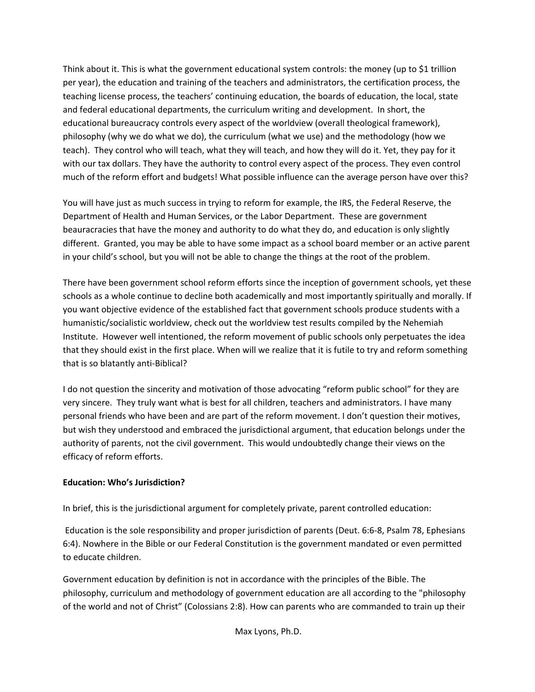Think about it. This is what the government educational system controls: the money (up to \$1 trillion per year), the education and training of the teachers and administrators, the certification process, the teaching license process, the teachers' continuing education, the boards of education, the local, state and federal educational departments, the curriculum writing and development. In short, the educational bureaucracy controls every aspect of the worldview (overall theological framework), philosophy (why we do what we do), the curriculum (what we use) and the methodology (how we teach). They control who will teach, what they will teach, and how they will do it. Yet, they pay for it with our tax dollars. They have the authority to control every aspect of the process. They even control much of the reform effort and budgets! What possible influence can the average person have over this?

You will have just as much success in trying to reform for example, the IRS, the Federal Reserve, the Department of Health and Human Services, or the Labor Department. These are government beauracracies that have the money and authority to do what they do, and education is only slightly different. Granted, you may be able to have some impact as a school board member or an active parent in your child's school, but you will not be able to change the things at the root of the problem.

There have been government school reform efforts since the inception of government schools, yet these schools as a whole continue to decline both academically and most importantly spiritually and morally. If you want objective evidence of the established fact that government schools produce students with a humanistic/socialistic worldview, check out the worldview test results compiled by the Nehemiah Institute. However well intentioned, the reform movement of public schools only perpetuates the idea that they should exist in the first place. When will we realize that it is futile to try and reform something that is so blatantly anti-Biblical?

I do not question the sincerity and motivation of those advocating "reform public school" for they are very sincere. They truly want what is best for all children, teachers and administrators. I have many personal friends who have been and are part of the reform movement. I don't question their motives, but wish they understood and embraced the jurisdictional argument, that education belongs under the authority of parents, not the civil government. This would undoubtedly change their views on the efficacy of reform efforts.

#### **Education: Who's Jurisdiction?**

In brief, this is the jurisdictional argument for completely private, parent controlled education:

 Education is the sole responsibility and proper jurisdiction of parents (Deut. 6:6-8, Psalm 78, Ephesians 6:4). Nowhere in the Bible or our Federal Constitution is the government mandated or even permitted to educate children.

Government education by definition is not in accordance with the principles of the Bible. The philosophy, curriculum and methodology of government education are all according to the "philosophy of the world and not of Christ" (Colossians 2:8). How can parents who are commanded to train up their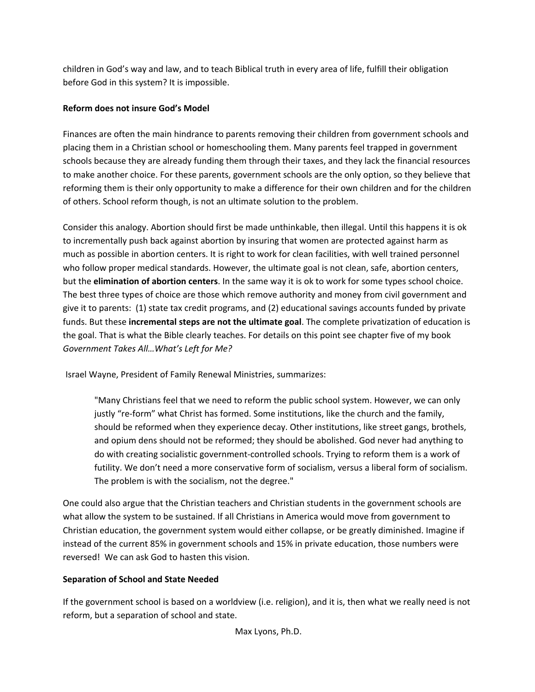children in God's way and law, and to teach Biblical truth in every area of life, fulfill their obligation before God in this system? It is impossible.

## **Reform does not insure God's Model**

Finances are often the main hindrance to parents removing their children from government schools and placing them in a Christian school or homeschooling them. Many parents feel trapped in government schools because they are already funding them through their taxes, and they lack the financial resources to make another choice. For these parents, government schools are the only option, so they believe that reforming them is their only opportunity to make a difference for their own children and for the children of others. School reform though, is not an ultimate solution to the problem.

Consider this analogy. Abortion should first be made unthinkable, then illegal. Until this happens it is ok to incrementally push back against abortion by insuring that women are protected against harm as much as possible in abortion centers. It is right to work for clean facilities, with well trained personnel who follow proper medical standards. However, the ultimate goal is not clean, safe, abortion centers, but the **elimination of abortion centers**. In the same way it is ok to work for some types school choice. The best three types of choice are those which remove authority and money from civil government and give it to parents: (1) state tax credit programs, and (2) educational savings accounts funded by private funds. But these **incremental steps are not the ultimate goal**. The complete privatization of education is the goal. That is what the Bible clearly teaches. For details on this point see chapter five of my book *Government Takes All…What's Left for Me?* 

Israel Wayne, President of Family Renewal Ministries, summarizes:

"Many Christians feel that we need to reform the public school system. However, we can only justly "re-form" what Christ has formed. Some institutions, like the church and the family, should be reformed when they experience decay. Other institutions, like street gangs, brothels, and opium dens should not be reformed; they should be abolished. God never had anything to do with creating socialistic government-controlled schools. Trying to reform them is a work of futility. We don't need a more conservative form of socialism, versus a liberal form of socialism. The problem is with the socialism, not the degree."

One could also argue that the Christian teachers and Christian students in the government schools are what allow the system to be sustained. If all Christians in America would move from government to Christian education, the government system would either collapse, or be greatly diminished. Imagine if instead of the current 85% in government schools and 15% in private education, those numbers were reversed! We can ask God to hasten this vision.

# **Separation of School and State Needed**

If the government school is based on a worldview (i.e. religion), and it is, then what we really need is not reform, but a separation of school and state.